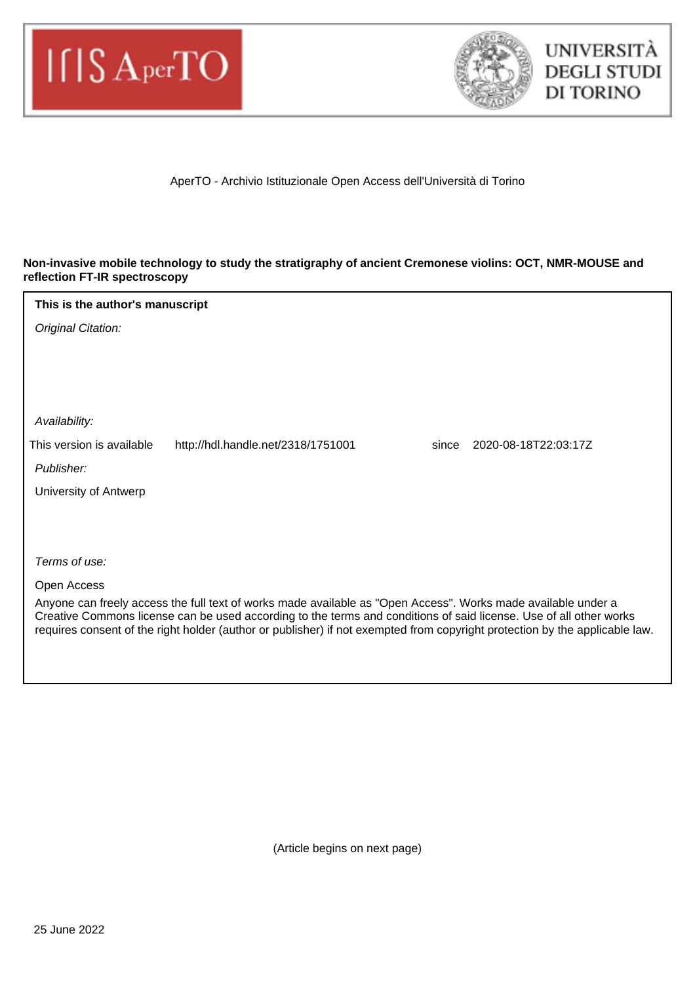



AperTO - Archivio Istituzionale Open Access dell'Università di Torino

## **Non-invasive mobile technology to study the stratigraphy of ancient Cremonese violins: OCT, NMR-MOUSE and reflection FT-IR spectroscopy**

## Original Citation: Publisher: Terms of use: Open Access Anyone can freely access the full text of works made available as "Open Access". Works made available under a Creative Commons license can be used according to the terms and conditions of said license. Use of all other works requires consent of the right holder (author or publisher) if not exempted from copyright protection by the applicable law. Availability: University of Antwerp **This is the author's manuscript** This version is available http://hdl.handle.net/2318/1751001 since 2020-08-18T22:03:17Z

(Article begins on next page)